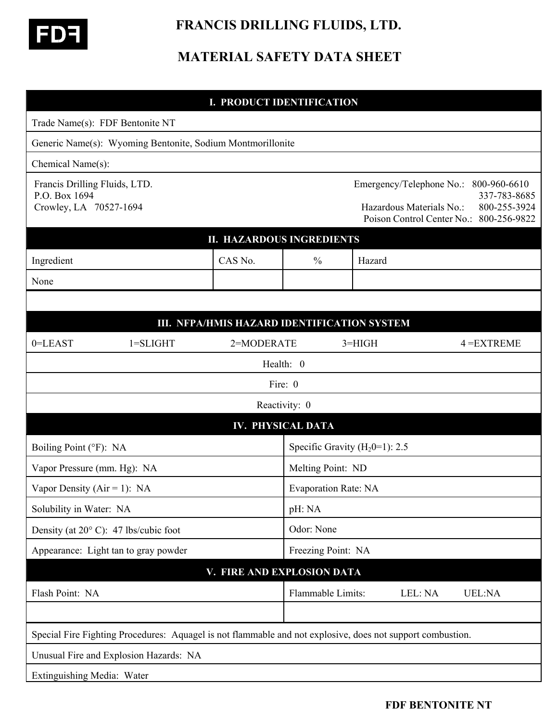

## **FRANCIS DRILLING FLUIDS, LTD.**

## **MATERIAL SAFETY DATA SHEET**

|                                                                                                            |              | <b>I. PRODUCT IDENTIFICATION</b> |                                    |          |                                                      |                                                                                         |  |
|------------------------------------------------------------------------------------------------------------|--------------|----------------------------------|------------------------------------|----------|------------------------------------------------------|-----------------------------------------------------------------------------------------|--|
| Trade Name(s): FDF Bentonite NT                                                                            |              |                                  |                                    |          |                                                      |                                                                                         |  |
| Generic Name(s): Wyoming Bentonite, Sodium Montmorillonite                                                 |              |                                  |                                    |          |                                                      |                                                                                         |  |
| Chemical Name(s):                                                                                          |              |                                  |                                    |          |                                                      |                                                                                         |  |
| Francis Drilling Fluids, LTD.<br>P.O. Box 1694<br>Crowley, LA 70527-1694                                   |              |                                  |                                    |          | Emergency/Telephone No.:<br>Hazardous Materials No.: | 800-960-6610<br>337-783-8685<br>800-255-3924<br>Poison Control Center No.: 800-256-9822 |  |
| <b>II. HAZARDOUS INGREDIENTS</b>                                                                           |              |                                  |                                    |          |                                                      |                                                                                         |  |
| Ingredient                                                                                                 |              | CAS No.                          | $\frac{0}{0}$                      | Hazard   |                                                      |                                                                                         |  |
| None                                                                                                       |              |                                  |                                    |          |                                                      |                                                                                         |  |
|                                                                                                            |              |                                  |                                    |          |                                                      |                                                                                         |  |
| III. NFPA/HMIS HAZARD IDENTIFICATION SYSTEM                                                                |              |                                  |                                    |          |                                                      |                                                                                         |  |
| 0=LEAST                                                                                                    | $1 = SLIGHT$ | 2=MODERATE                       |                                    | $3=HIGH$ |                                                      | $4 = EXTREME$                                                                           |  |
| Health: 0                                                                                                  |              |                                  |                                    |          |                                                      |                                                                                         |  |
|                                                                                                            |              |                                  | Fire: 0                            |          |                                                      |                                                                                         |  |
| Reactivity: 0                                                                                              |              |                                  |                                    |          |                                                      |                                                                                         |  |
| <b>IV. PHYSICAL DATA</b>                                                                                   |              |                                  |                                    |          |                                                      |                                                                                         |  |
| Boiling Point (°F): NA                                                                                     |              |                                  | Specific Gravity ( $H_2$ 0=1): 2.5 |          |                                                      |                                                                                         |  |
| Vapor Pressure (mm. Hg): NA                                                                                |              |                                  | Melting Point: ND                  |          |                                                      |                                                                                         |  |
| Vapor Density ( $Air = 1$ ): NA                                                                            |              |                                  | <b>Evaporation Rate: NA</b>        |          |                                                      |                                                                                         |  |
| Solubility in Water: NA                                                                                    |              |                                  | pH: NA                             |          |                                                      |                                                                                         |  |
| Density (at 20°C): 47 lbs/cubic foot                                                                       |              |                                  | Odor: None                         |          |                                                      |                                                                                         |  |
| Appearance: Light tan to gray powder                                                                       |              |                                  | Freezing Point: NA                 |          |                                                      |                                                                                         |  |
| V. FIRE AND EXPLOSION DATA                                                                                 |              |                                  |                                    |          |                                                      |                                                                                         |  |
| Flash Point: NA                                                                                            |              |                                  | Flammable Limits:                  |          | LEL: NA                                              | <b>UEL:NA</b>                                                                           |  |
|                                                                                                            |              |                                  |                                    |          |                                                      |                                                                                         |  |
| Special Fire Fighting Procedures: Aquagel is not flammable and not explosive, does not support combustion. |              |                                  |                                    |          |                                                      |                                                                                         |  |
| Unusual Fire and Explosion Hazards: NA                                                                     |              |                                  |                                    |          |                                                      |                                                                                         |  |
| Extinguishing Media: Water                                                                                 |              |                                  |                                    |          |                                                      |                                                                                         |  |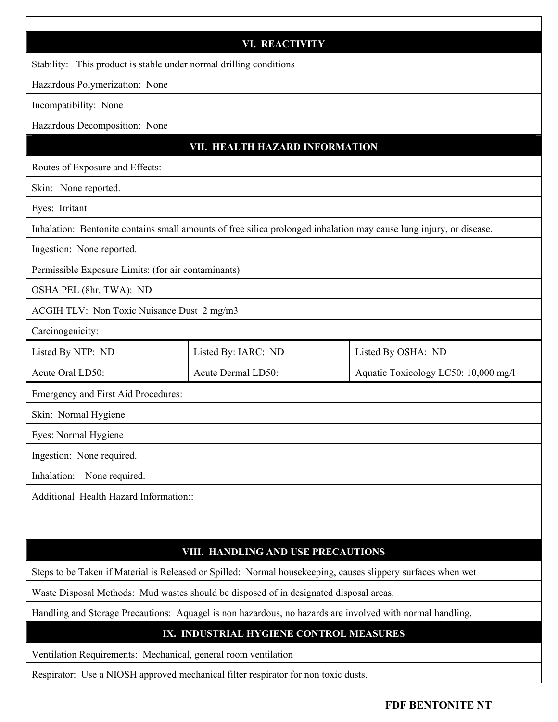| <b>VI. REACTIVITY</b>                                                                                               |                     |                                      |  |  |  |  |
|---------------------------------------------------------------------------------------------------------------------|---------------------|--------------------------------------|--|--|--|--|
| Stability: This product is stable under normal drilling conditions                                                  |                     |                                      |  |  |  |  |
| Hazardous Polymerization: None                                                                                      |                     |                                      |  |  |  |  |
| Incompatibility: None                                                                                               |                     |                                      |  |  |  |  |
| Hazardous Decomposition: None                                                                                       |                     |                                      |  |  |  |  |
| VII. HEALTH HAZARD INFORMATION                                                                                      |                     |                                      |  |  |  |  |
| Routes of Exposure and Effects:                                                                                     |                     |                                      |  |  |  |  |
| Skin: None reported.                                                                                                |                     |                                      |  |  |  |  |
| Eyes: Irritant                                                                                                      |                     |                                      |  |  |  |  |
| Inhalation: Bentonite contains small amounts of free silica prolonged inhalation may cause lung injury, or disease. |                     |                                      |  |  |  |  |
| Ingestion: None reported.                                                                                           |                     |                                      |  |  |  |  |
| Permissible Exposure Limits: (for air contaminants)                                                                 |                     |                                      |  |  |  |  |
| OSHA PEL (8hr. TWA): ND                                                                                             |                     |                                      |  |  |  |  |
| ACGIH TLV: Non Toxic Nuisance Dust 2 mg/m3                                                                          |                     |                                      |  |  |  |  |
| Carcinogenicity:                                                                                                    |                     |                                      |  |  |  |  |
| Listed By NTP: ND                                                                                                   | Listed By: IARC: ND | Listed By OSHA: ND                   |  |  |  |  |
| Acute Oral LD50:                                                                                                    | Acute Dermal LD50:  | Aquatic Toxicology LC50: 10,000 mg/l |  |  |  |  |
| Emergency and First Aid Procedures:                                                                                 |                     |                                      |  |  |  |  |
| Skin: Normal Hygiene                                                                                                |                     |                                      |  |  |  |  |
| Eyes: Normal Hygiene                                                                                                |                     |                                      |  |  |  |  |
| Ingestion: None required.                                                                                           |                     |                                      |  |  |  |  |
| Inhalation:<br>None required.                                                                                       |                     |                                      |  |  |  |  |
| Additional Health Hazard Information::                                                                              |                     |                                      |  |  |  |  |
|                                                                                                                     |                     |                                      |  |  |  |  |
|                                                                                                                     |                     |                                      |  |  |  |  |
| VIII. HANDLING AND USE PRECAUTIONS                                                                                  |                     |                                      |  |  |  |  |
| Steps to be Taken if Material is Released or Spilled: Normal housekeeping, causes slippery surfaces when wet        |                     |                                      |  |  |  |  |
| Waste Disposal Methods: Mud wastes should be disposed of in designated disposal areas.                              |                     |                                      |  |  |  |  |
| Handling and Storage Precautions: Aquagel is non hazardous, no hazards are involved with normal handling.           |                     |                                      |  |  |  |  |
| IX. INDUSTRIAL HYGIENE CONTROL MEASURES                                                                             |                     |                                      |  |  |  |  |
| Ventilation Requirements: Mechanical, general room ventilation                                                      |                     |                                      |  |  |  |  |

Respirator: Use a NIOSH approved mechanical filter respirator for non toxic dusts.